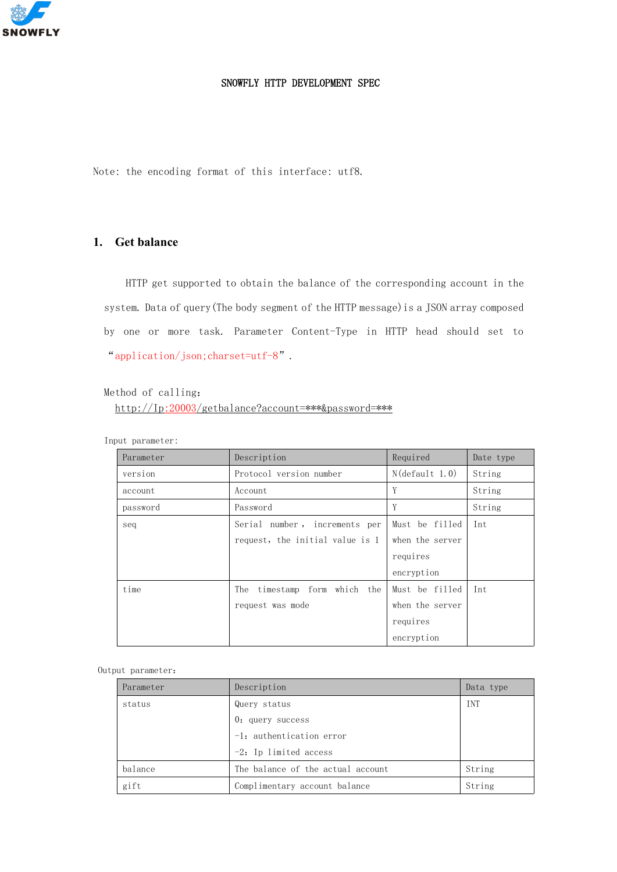

# SNOWFLY HTTP DEVELOPMENT SPEC

Note: the encoding format of this interface: utf8.

# **1. Get balance**

HTTP get supported to obtain the balance of the corresponding account in the system. Data of query(The body segment of the HTTP message)is a JSON array composed by one or more task. Parameter Content-Type in HTTP head should set to "application/json;charset=utf-8".

# Method of calling:

http://Ip:20003/getbalance?account=\*\*\*&password=\*\*\*

Input parameter:

| Parameter | Description                     | Required          | Date type |
|-----------|---------------------------------|-------------------|-----------|
| version   | Protocol version number         | $N$ (default 1.0) | String    |
| account   | Account                         | Y                 | String    |
| password  | Password                        | Y                 | String    |
| seq       | Serial number, increments per   | Must be filled    | Int       |
|           | request, the initial value is 1 | when the server   |           |
|           |                                 | requires          |           |
|           |                                 | encryption        |           |
| time      | The timestamp form which the    | Must be filled    | Int       |
|           | request was mode                | when the server   |           |
|           |                                 | requires          |           |
|           |                                 | encryption        |           |

| Parameter | Description                       | Data type |
|-----------|-----------------------------------|-----------|
| status    | Query status                      | INT       |
|           | $0:$ query success                |           |
|           | $-1$ : authentication error       |           |
|           | $-2$ : Ip limited access          |           |
| balance   | The balance of the actual account | String    |
| gift      | Complimentary account balance     | String    |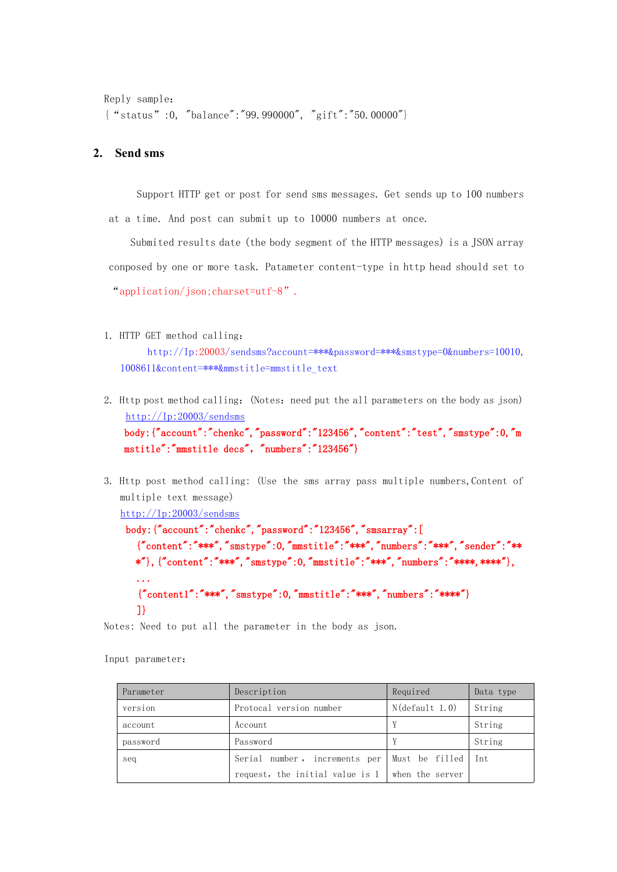```
Reply sample:
{"status":0, "balance":"99.990000", "gift":"50.00000"}
```
### **2. Send sms**

Support HTTP get or post for send sms messages. Get sends up to 100 numbers at a time. And post can submit up to 10000 numbers at once.

Submited results date (the body segment of the HTTP messages) is a JSON array conposed by one or more task. Patameter content-type in http head should set to "application/json;charset=utf-8".

1. HTTP GET method calling:

[http://Ip:20003/sendsms?account=\\*\\*\\*&password=\\*\\*\\*&smstype=0&numbers=10010,](http://ip:20003/sendsms?account=***&password=***&smstype=0&numbers=10010,1008611&content=***&mmstitle=mmstitle_text) 1008611&content=\*\*\*&mmstitle=mmstitle\_text

- 2. Http post method calling: (Notes: need put the all parameters on the body as json) [http://Ip:20003/sendsms](http://ip:20003/sendsms) body:{"account":"chenkc","password":"123456","content":"test","smstype":0,"m mstitle":"mmstitle decs", "numbers":"123456"}
- 3. Http post method calling: (Use the sms array pass multiple numbers, Content of multiple text message)

```
http://Ip:20003/sendsms
```

```
body:{"account":"chenkc","password":"123456","smsarray":[
 {"content":"***","smstype":0,"mmstitle":"***","numbers":"***","sender":"**
 *"},{"content":"***","smstype":0,"mmstitle":"***","numbers":"****,****"},
  ...
  {"content1":"***", "smstype":0,"mmstitle":"***", "numbers":"***"\}
  ]}
```
Notes: Need to put all the parameter in the body as json.

Input parameter:

| Parameter | Description                                            | Required | Data type |
|-----------|--------------------------------------------------------|----------|-----------|
| version   | $N$ (default 1.0)<br>Protocal version number           |          | String    |
| account   | Account                                                |          | String    |
| password  | Password                                               |          | String    |
| seq       | Serial number, increments per Must be filled           |          | Int       |
|           | request, the initial value is $1 \mid$ when the server |          |           |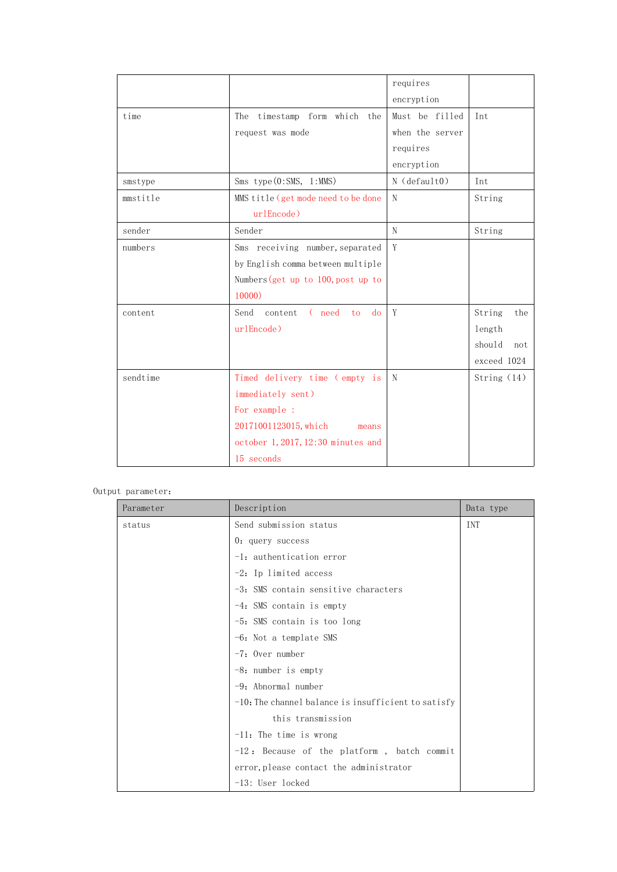|          |                                       | requires           |               |
|----------|---------------------------------------|--------------------|---------------|
|          |                                       | encryption         |               |
| time     | The timestamp form which the          | Must be filled     | Int           |
|          | request was mode                      | when the server    |               |
|          |                                       | requires           |               |
|          |                                       | encryption         |               |
| smstype  | $Sms$ type $(0:5MS, 1:MMS)$           | $N$ (default $0$ ) | Int           |
| mmstitle | MMS title (get mode need to be done   | $\mathbf N$        | String        |
|          | urlEncode)                            |                    |               |
| sender   | Sender                                | N                  | String        |
| numbers  | Sms receiving number, separated       | Y                  |               |
|          | by English comma between multiple     |                    |               |
|          | Numbers (get up to $100$ , post up to |                    |               |
|          | 10000)                                |                    |               |
| content  | ( need to<br>do<br>Send content       | Y                  | String<br>the |
|          | urlEncode)                            |                    | length        |
|          |                                       |                    | should<br>not |
|          |                                       |                    | exceed 1024   |
| sendtime | Timed delivery time (empty is         | $\mathbb N$        | String (14)   |
|          | immediately sent)                     |                    |               |
|          | For example :                         |                    |               |
|          | 20171001123015, which<br>means        |                    |               |
|          | october 1, 2017, 12:30 minutes and    |                    |               |
|          | 15 seconds                            |                    |               |

| Parameter | Description                                            | Data type  |
|-----------|--------------------------------------------------------|------------|
| status    | Send submission status                                 | <b>INT</b> |
|           | $0:$ query success                                     |            |
|           | $-1$ : authentication error                            |            |
|           | $-2$ : Ip limited access                               |            |
|           | $-3$ : SMS contain sensitive characters                |            |
|           | $-4$ : SMS contain is empty                            |            |
|           | $-5$ : SMS contain is too long                         |            |
|           | $-6$ : Not a template SMS                              |            |
|           | $-7$ : Over number                                     |            |
|           | $-8$ : number is empty                                 |            |
|           | $-9$ : Abnormal number                                 |            |
|           | $-10$ : The channel balance is insufficient to satisfy |            |
|           | this transmission                                      |            |
|           | $-11$ : The time is wrong                              |            |
|           | $-12$ : Because of the platform, batch commit          |            |
|           | error, please contact the administrator                |            |
|           | -13: User locked                                       |            |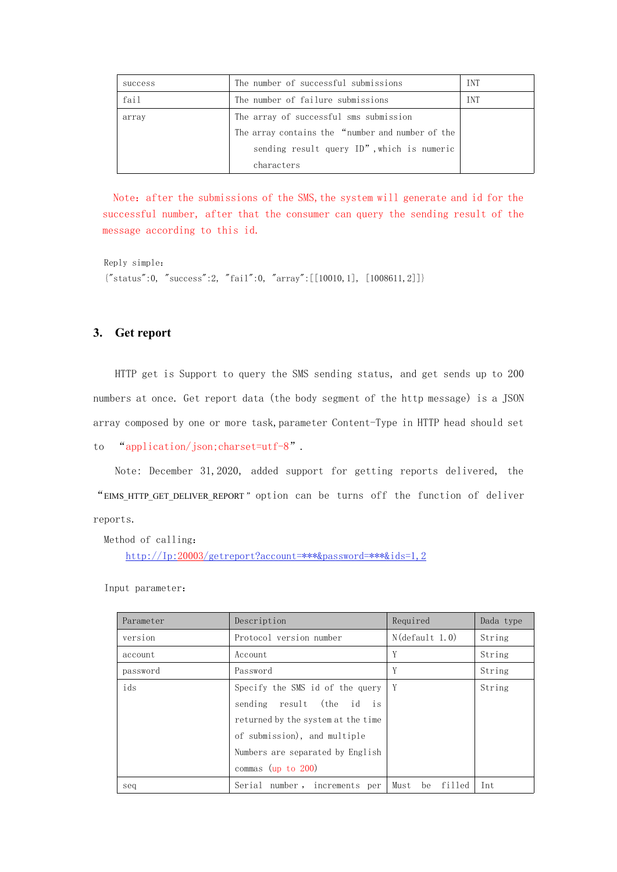| success | The number of successful submissions             | <b>TNT</b> |
|---------|--------------------------------------------------|------------|
| fail    | The number of failure submissions                | <b>TNT</b> |
| array   | The array of successful sms submission           |            |
|         | The array contains the "number and number of the |            |
|         | sending result query ID", which is numeric       |            |
|         | characters                                       |            |

Note: after the submissions of the SMS, the system will generate and id for the successful number, after that the consumer can query the sending result of the message according to this id.

Reply simple:  ${$ "status":0, "success":2, "fail":0, "array":[[10010,1], [1008611,2]]}

# **3. Get report**

HTTP get is Support to query the SMS sending status, and get sends up to 200 numbers at once. Get report data (the body segment of the http message) is a JSON array composed by one or more task,parameter Content-Type in HTTP head should set

to "application/json;charset=utf-8".

Note: December 31,2020, added support for getting reports delivered, the "EIMS\_HTTP\_GET\_DELIVER\_REPORT " option can be turns off the function of deliver reports.

Method of calling:

http://Ip:20003/getreport?account=\*\*\*&password=\*\*\*&ids=1,2

Input parameter:

| Parameter | Description                               | Required             | Dada type |
|-----------|-------------------------------------------|----------------------|-----------|
| version   | Protocol version number                   | $N$ (default 1.0)    | String    |
| account   | Account                                   | Y                    | String    |
| password  | Password                                  | Y                    | String    |
| ids       | Specify the SMS id of the query $\vert$ Y |                      | String    |
|           | sending result (the id is                 |                      |           |
|           | returned by the system at the time        |                      |           |
|           | of submission), and multiple              |                      |           |
|           | Numbers are separated by English          |                      |           |
|           | commas (up to $200$ )                     |                      |           |
| seq       | Serial number, increments per             | filled<br>Must<br>be | Int       |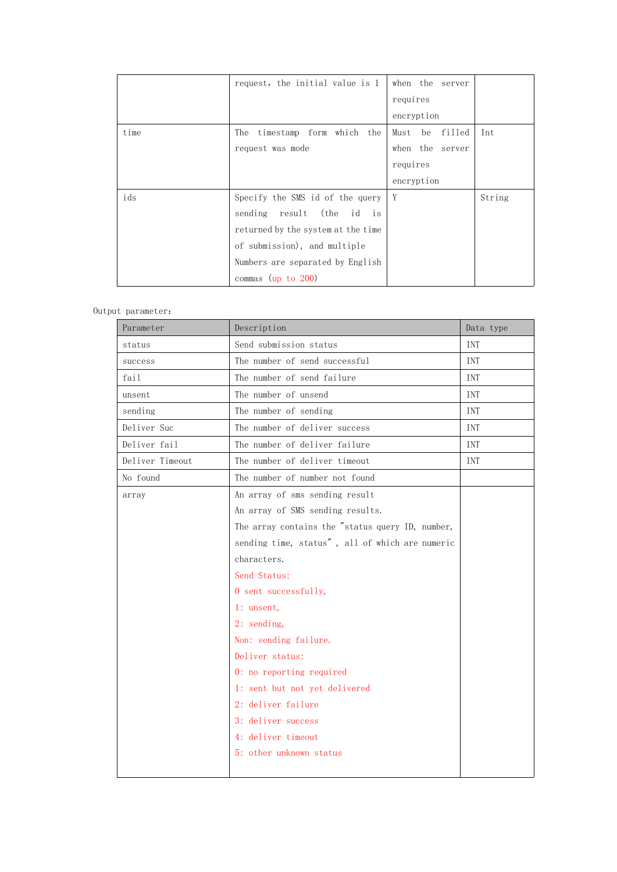|      | request, the initial value is 1    | when the server   |        |
|------|------------------------------------|-------------------|--------|
|      |                                    | requires          |        |
|      |                                    | encryption        |        |
| time | The timestamp form which the       | filled<br>Must be | Int    |
|      | request was mode                   | when the server   |        |
|      |                                    | requires          |        |
|      |                                    | encryption        |        |
| ids  | Specify the SMS id of the query    | Y                 | String |
|      | sending result (the id is          |                   |        |
|      | returned by the system at the time |                   |        |
|      | of submission), and multiple       |                   |        |
|      | Numbers are separated by English   |                   |        |
|      | commas (up to $200$ )              |                   |        |

| Parameter       | Description                                      | Data type  |
|-----------------|--------------------------------------------------|------------|
| status          | Send submission status                           | <b>INT</b> |
| success         | The number of send successful                    | <b>INT</b> |
| fail            | The number of send failure                       | <b>INT</b> |
| unsent          | The number of unsend                             | <b>INT</b> |
| sending         | The number of sending                            | <b>INT</b> |
| Deliver Suc     | The number of deliver success                    | <b>INT</b> |
| Deliver fail    | The number of deliver failure                    | <b>TNT</b> |
| Deliver Timeout | The number of deliver timeout                    | INT        |
| No found        | The number of number not found                   |            |
| array           | An array of sms sending result                   |            |
|                 | An array of SMS sending results.                 |            |
|                 | The array contains the "status query ID, number, |            |
|                 | sending time, status", all of which are numeric  |            |
|                 | characters.                                      |            |
|                 | Send Status:                                     |            |
|                 | 0 sent successfully,                             |            |
|                 | 1: unsent,                                       |            |
|                 | 2: sending,                                      |            |
|                 | Non: sending failure.                            |            |
|                 | Deliver status:                                  |            |
|                 | 0: no reporting required                         |            |
|                 | 1: sent but not yet delivered                    |            |
|                 | 2: deliver failure                               |            |
|                 | 3: deliver success                               |            |
|                 | 4: deliver timeout                               |            |
|                 | 5: other unknown status                          |            |
|                 |                                                  |            |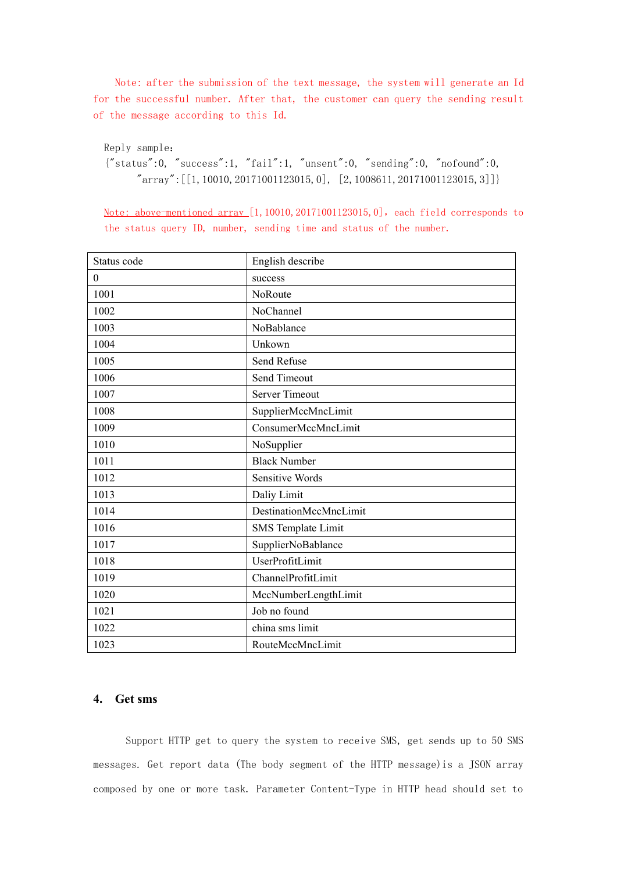Note: after the submission of the text message, the system will generate an Id for the successful number. After that, the customer can query the sending result of the message according to this Id.

Reply sample:

{"status":0, "success":1, "fail":1, "unsent":0, "sending":0, "nofound":0,  $"array" : [[1,10010,20171001123015,0], [2,1008611,20171001123015,3]]$ 

Note: above-mentioned array  $[1,10010,20171001123015,0]$ , each field corresponds to the status query ID, number, sending time and status of the number.

| Status code | English describe          |
|-------------|---------------------------|
| $\theta$    | success                   |
|             |                           |
| 1001        | NoRoute                   |
| 1002        | NoChannel                 |
| 1003        | NoBablance                |
| 1004        | Unkown                    |
| 1005        | Send Refuse               |
| 1006        | Send Timeout              |
| 1007        | <b>Server Timeout</b>     |
| 1008        | SupplierMccMncLimit       |
| 1009        | ConsumerMccMncLimit       |
| 1010        | NoSupplier                |
| 1011        | <b>Black Number</b>       |
| 1012        | Sensitive Words           |
| 1013        | Daliy Limit               |
| 1014        | DestinationMccMncLimit    |
| 1016        | <b>SMS</b> Template Limit |
| 1017        | SupplierNoBablance        |
| 1018        | UserProfitLimit           |
| 1019        | ChannelProfitLimit        |
| 1020        | MccNumberLengthLimit      |
| 1021        | Job no found              |
| 1022        | china sms limit           |
| 1023        | RouteMccMncLimit          |

# **4. Get sms**

Support HTTP get to query the system to receive SMS, get sends up to 50 SMS messages. Get report data (The body segment of the HTTP message)is a JSON array composed by one or more task. Parameter Content-Type in HTTP head should set to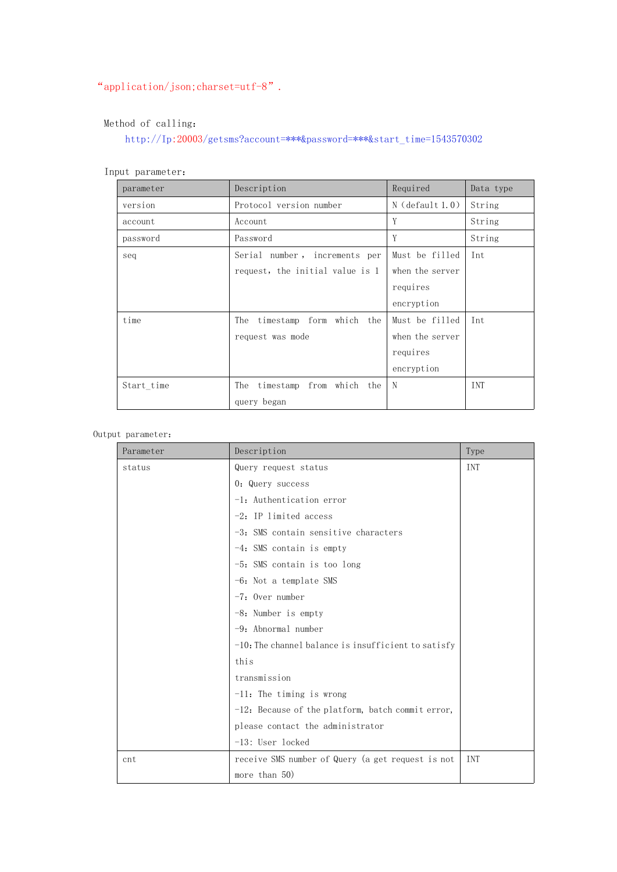# "application/json;charset=utf-8".

# Method of calling:

<code>http://Ip:20003/getsms?account=\*\*\*&password=\*\*\*&start\_time=1543570302</code>

| parameter  | Description                     | Required          | Data type  |
|------------|---------------------------------|-------------------|------------|
| version    | Protocol version number         | $N$ (default 1.0) | String     |
| account    | Account                         | Y                 | String     |
| password   | Password                        | Y                 | String     |
| seq        | Serial number, increments per   | Must be filled    | Int        |
|            | request, the initial value is 1 | when the server   |            |
|            |                                 | requires          |            |
|            |                                 | encryption        |            |
| time       | The timestamp form which the    | Must be filled    | Int        |
|            | request was mode                | when the server   |            |
|            |                                 | requires          |            |
|            |                                 | encryption        |            |
| Start_time | The timestamp from which the    | N                 | <b>INT</b> |
|            | query began                     |                   |            |

### Input parameter:

| Parameter | Description                                            | Type       |
|-----------|--------------------------------------------------------|------------|
| status    | Query request status                                   | INT        |
|           | 0: Query success                                       |            |
|           | $-1$ : Authentication error                            |            |
|           | $-2$ : IP limited access                               |            |
|           | -3: SMS contain sensitive characters                   |            |
|           | $-4$ : SMS contain is empty                            |            |
|           | $-5$ : SMS contain is too long                         |            |
|           | $-6$ : Not a template SMS                              |            |
|           | $-7$ : Over number                                     |            |
|           | $-8$ : Number is empty                                 |            |
|           | $-9$ : Abnormal number                                 |            |
|           | $-10$ : The channel balance is insufficient to satisfy |            |
|           | this                                                   |            |
|           | transmission                                           |            |
|           | $-11$ : The timing is wrong                            |            |
|           | -12: Because of the platform, batch commit error,      |            |
|           | please contact the administrator                       |            |
|           | $-13$ : User locked                                    |            |
| cnt       | receive SMS number of Query (a get request is not      | <b>TNT</b> |
|           | more than 50)                                          |            |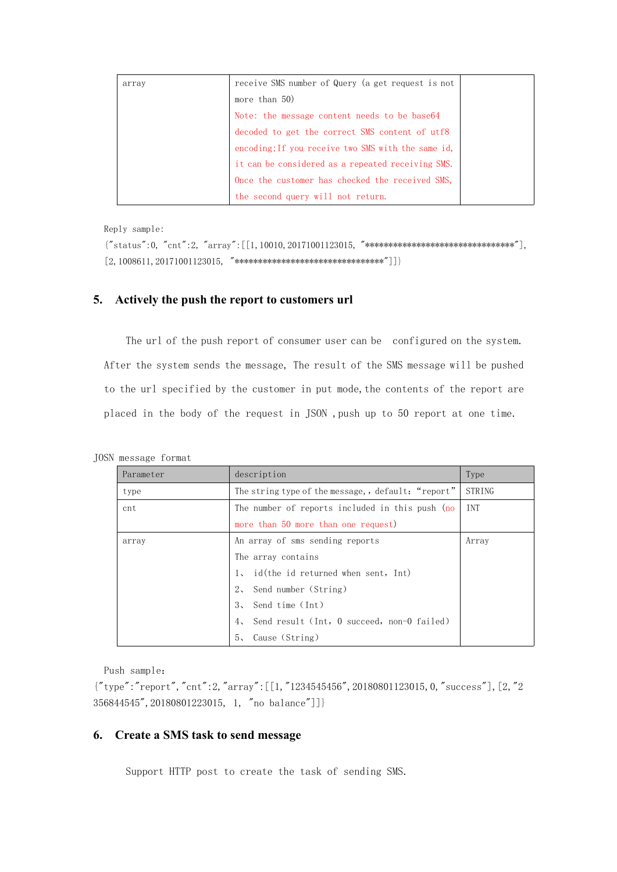| array | receive SMS number of Query (a get request is not  |  |
|-------|----------------------------------------------------|--|
|       | more than 50)                                      |  |
|       | Note: the message content needs to be base 64      |  |
|       | decoded to get the correct SMS content of utf8     |  |
|       | encoding; If you receive two SMS with the same id, |  |
|       | it can be considered as a repeated receiving SMS.  |  |
|       | Once the customer has checked the received SMS,    |  |
|       | the second query will not return.                  |  |

Reply sample:

```
{"status":0, "cnt":2, "array":[[1,10010,20171001123015, "********************************"],
[2,1008611,20171001123015, "********************************"]]}
```
### **5. Actively the push the report to customers url**

The url of the push report of consumer user can be configured on the system. After the system sends the message, The result of the SMS message will be pushed to the url specified by the customer in put mode, the contents of the report are placed in the body of the request in JSON ,push up to 50 report at one time.

|  |  | JOSN message format |  |  |
|--|--|---------------------|--|--|
|--|--|---------------------|--|--|

| Parameter | description                                        | Type       |
|-----------|----------------------------------------------------|------------|
| type      | The string type of the message,, default: "report" | STRING     |
| cnt       | The number of reports included in this push (no    | <b>TNT</b> |
|           | more than 50 more than one request)                |            |
| array     | An array of sms sending reports                    | Array      |
|           | The array contains                                 |            |
|           | $1$ , id(the id returned when sent, Int)           |            |
|           | 2, Send number (String)                            |            |
|           | Send time (Int)<br>3 <sub>1</sub>                  |            |
|           | Send result (Int, 0 succeed, non-0 failed)<br>4.1  |            |
|           | Cause (String)<br>5 <sub>1</sub>                   |            |

Push sample:

 ${\lbrack}'' \text{type}''$ : "report", "cnt": 2, "array": [[1, "1234545456", 20180801123015, 0, "success"], [2, "2] 356844545",20180801223015, 1, "no balance"]]}

# **6. Create a SMS task tosend message**

Support HTTP post to create the task of sending SMS.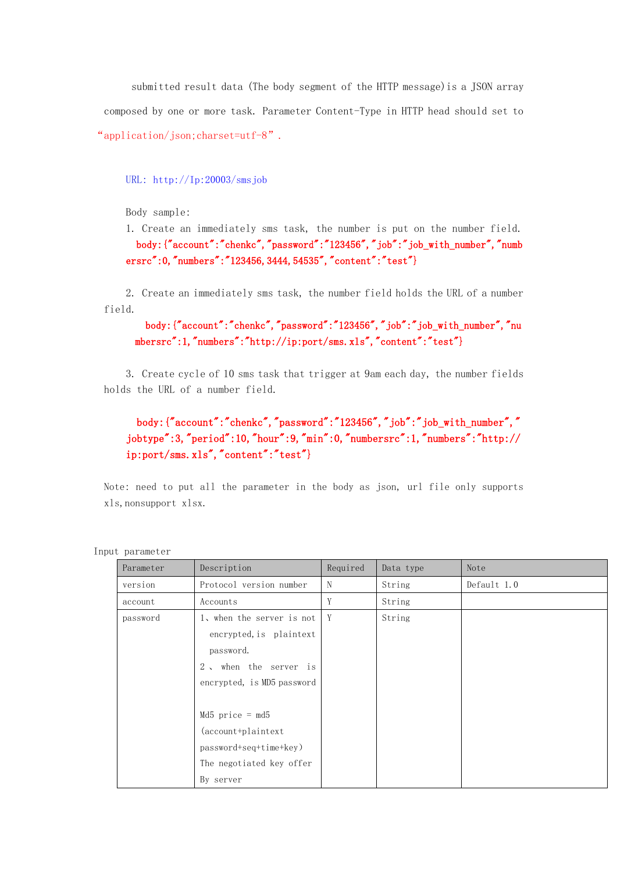submitted result data (The body segment of the HTTP message)is a JSON array composed by one or more task. Parameter Content-Type in HTTP head should set to "application/json;charset=utf-8".

#### URL: [http://Ip:20003/smsj](http://ip:20003/sendsms)ob

Body sample:

1. Create an immediately sms task, the number is put on the number field. body: {"account":"chenkc","password":"123456","job":"job\_with\_number","numb ersrc":0,"numbers":"123456,3444,54535","content":"test"}

2. Create an immediately sms task, the number field holds the URL of a number field.

# body: {"account":"chenkc","password":"123456","job":"job\_with\_number","nu mbersrc":1,"numbers":"http://ip:port/sms.xls","content":"test"}

3. Create cycle of 10 sms task that trigger at 9am each day, the number fields holds the URL of a number field.

body:{"account":"chenkc","password":"123456","job":"job\_with\_number"," jobtype":3,"period":10,"hour":9,"min":0,"numbersrc":1,"numbers":"http:// ip:port/sms.xls", "content":"test"}

Note: need to put all the parameter in the body as json, url file only supports xls,nonsupport xlsx.

| Parameter | Description                                                                                                              | Required | Data type | Note        |
|-----------|--------------------------------------------------------------------------------------------------------------------------|----------|-----------|-------------|
| version   | Protocol version number                                                                                                  | N        | String    | Default 1.0 |
| account   | Accounts                                                                                                                 | Y        | String    |             |
| password  | 1, when the server is not<br>encrypted, is plaintext<br>password.<br>2, when the server is<br>encrypted, is MD5 password | Y        | String    |             |
|           | $Md5$ price = md5<br>(account+plaintext<br>$password+seq+time+key$<br>The negotiated key offer<br>By server              |          |           |             |

Input parameter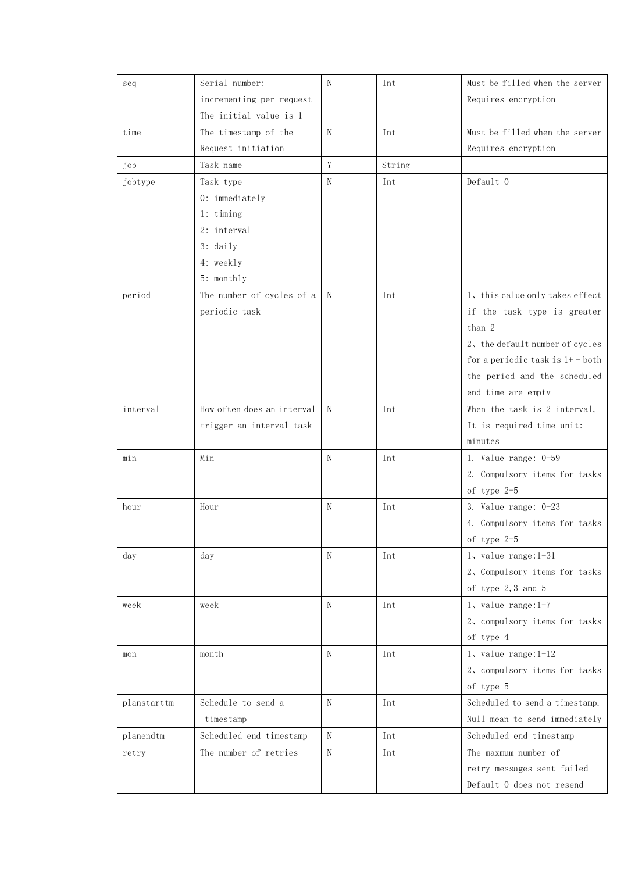| seq         | Serial number:             | N | Int    | Must be filled when the server    |
|-------------|----------------------------|---|--------|-----------------------------------|
|             | incrementing per request   |   |        | Requires encryption               |
|             | The initial value is 1     |   |        |                                   |
| time        | The timestamp of the       | N | Int    | Must be filled when the server    |
|             | Request initiation         |   |        | Requires encryption               |
| job         | Task name                  | Y | String |                                   |
| jobtype     | Task type                  | N | Int    | Default 0                         |
|             | 0: immediately             |   |        |                                   |
|             | $1:$ timing                |   |        |                                   |
|             | 2: interval                |   |        |                                   |
|             | $3:$ daily                 |   |        |                                   |
|             | 4: weekly                  |   |        |                                   |
|             | 5: monthly                 |   |        |                                   |
| period      | The number of cycles of a  | N | Int    | 1, this calue only takes effect   |
|             | periodic task              |   |        | if the task type is greater       |
|             |                            |   |        | than 2                            |
|             |                            |   |        | 2, the default number of cycles   |
|             |                            |   |        | for a periodic task is $1+$ -both |
|             |                            |   |        | the period and the scheduled      |
|             |                            |   |        | end time are empty                |
| interval    | How often does an interval | N | Int    | When the task is 2 interval,      |
|             | trigger an interval task   |   |        | It is required time unit:         |
|             |                            |   |        | minutes                           |
| min         | Min                        | N | Int    | 1. Value range: $0-59$            |
|             |                            |   |        | 2. Compulsory items for tasks     |
|             |                            |   |        | of type 2-5                       |
| hour        | Hour                       | N | Int    | 3. Value range: 0-23              |
|             |                            |   |        | 4. Compulsory items for tasks     |
|             |                            |   |        | of type $2-5$                     |
| day         | day                        | N | Int    | $1$ , value range: $1-31$         |
|             |                            |   |        | 2. Compulsory items for tasks     |
|             |                            |   |        | of type $2, 3$ and $5$            |
| week        | week                       | N | Int    | $1$ , value range: $1-7$          |
|             |                            |   |        | 2, compulsory items for tasks     |
|             |                            |   |        | of type 4                         |
| mon         | month                      | N | Int    | $1$ , value range: $1-12$         |
|             |                            |   |        | 2, compulsory items for tasks     |
|             |                            |   |        | of type 5                         |
| planstarttm | Schedule to send a         | N | Int    | Scheduled to send a timestamp.    |
|             | timestamp                  |   |        | Null mean to send immediately     |
| planendtm   | Scheduled end timestamp    | N | Int    | Scheduled end timestamp           |
| retry       | The number of retries      | N | Int    | The maxmum number of              |
|             |                            |   |        | retry messages sent failed        |
|             |                            |   |        | Default 0 does not resend         |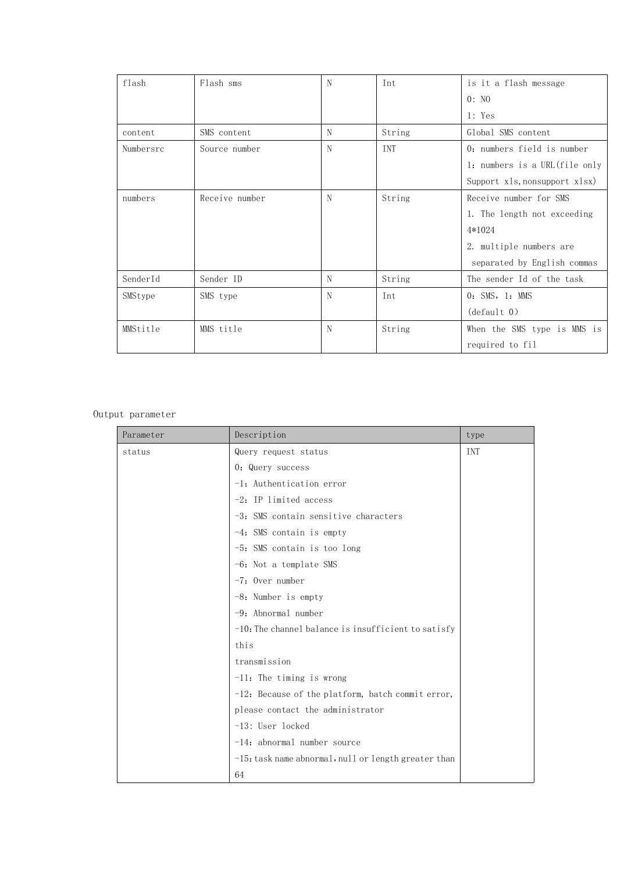| flash     | Flash sms      | N | Int    | is it a flash message          |
|-----------|----------------|---|--------|--------------------------------|
|           |                |   |        | 0: N <sub>0</sub>              |
|           |                |   |        | 1: Yes                         |
| content   | SMS content    | N | String | Global SMS content             |
| Numbersrc | Source number  | N | INT    | 0: numbers field is number     |
|           |                |   |        | 1: numbers is a URL (file only |
|           |                |   |        | Support xls, nonsupport xlsx)  |
| numbers   | Receive number | N | String | Receive number for SMS         |
|           |                |   |        | 1. The length not exceeding    |
|           |                |   |        | 4*1024                         |
|           |                |   |        | 2. multiple numbers are        |
|           |                |   |        | separated by English commas    |
| SenderId  | Sender ID      | N | String | The sender Id of the task      |
| SMStype   | SMS type       | N | Int    | $0:$ SMS, $1:$ MMS             |
|           |                |   |        | (detault 0)                    |
| MMStitle  | MMS title      | N | String | When the SMS type is MMS is    |
|           |                |   |        | required to fil                |

| Parameter | Description                                             | type |
|-----------|---------------------------------------------------------|------|
| status    | Query request status                                    | INT  |
|           | 0: Query success                                        |      |
|           | $-1$ : Authentication error                             |      |
|           | $-2$ : IP limited access                                |      |
|           | $-3$ : SMS contain sensitive characters                 |      |
|           | $-4$ : SMS contain is empty                             |      |
|           | -5: SMS contain is too long                             |      |
|           | $-6$ : Not a template SMS                               |      |
|           | $-7$ : Over number                                      |      |
|           | -8: Number is empty                                     |      |
|           | $-9$ : Abnormal number                                  |      |
|           | $-10$ : The channel balance is insufficient to satisfy  |      |
|           | this                                                    |      |
|           | transmission                                            |      |
|           | $-11$ : The timing is wrong                             |      |
|           | -12: Because of the platform, batch commit error,       |      |
|           | please contact the administrator                        |      |
|           | -13: User locked                                        |      |
|           | $-14$ : abnormal number source                          |      |
|           | $-15$ : task name abnormal, null or length greater than |      |
|           | 64                                                      |      |